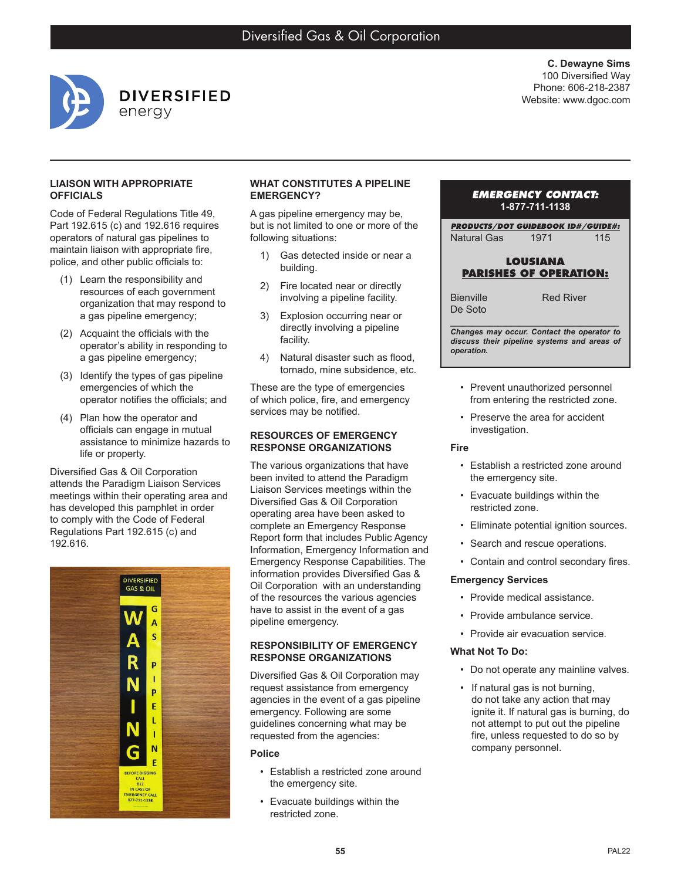

**C. Dewayne Sims** 100 Diversified Way Phone: 606-218-2387 Website: www.dgoc.com

#### **LIAISON WITH APPROPRIATE OFFICIALS**

Code of Federal Regulations Title 49, Part 192.615 (c) and 192.616 requires operators of natural gas pipelines to maintain liaison with appropriate fire, police, and other public officials to:

- (1) Learn the responsibility and resources of each government organization that may respond to a gas pipeline emergency;
- (2) Acquaint the officials with the operator's ability in responding to a gas pipeline emergency;
- (3) Identify the types of gas pipeline emergencies of which the operator notifies the officials; and
- (4) Plan how the operator and officials can engage in mutual assistance to minimize hazards to life or property.

Diversified Gas & Oil Corporation attends the Paradigm Liaison Services meetings within their operating area and has developed this pamphlet in order to comply with the Code of Federal Regulations Part 192.615 (c) and 192.616.



## **WHAT CONSTITUTES A PIPELINE EMERGENCY?**

A gas pipeline emergency may be, but is not limited to one or more of the following situations:

- 1) Gas detected inside or near a building.
- 2) Fire located near or directly involving a pipeline facility.
- 3) Explosion occurring near or directly involving a pipeline facility.
- 4) Natural disaster such as flood, tornado, mine subsidence, etc.

These are the type of emergencies of which police, fire, and emergency services may be notified.

## **RESOURCES OF EMERGENCY RESPONSE ORGANIZATIONS**

The various organizations that have been invited to attend the Paradigm Liaison Services meetings within the Diversified Gas & Oil Corporation operating area have been asked to complete an Emergency Response Report form that includes Public Agency Information, Emergency Information and Emergency Response Capabilities. The information provides Diversified Gas & Oil Corporation with an understanding of the resources the various agencies have to assist in the event of a gas pipeline emergency.

## **RESPONSIBILITY OF EMERGENCY RESPONSE ORGANIZATIONS**

Diversified Gas & Oil Corporation may request assistance from emergency agencies in the event of a gas pipeline emergency. Following are some guidelines concerning what may be requested from the agencies:

#### **Police**

- Establish a restricted zone around the emergency site.
- Evacuate buildings within the restricted zone.

## *EMERGENCY CONTACT:* **1-877-711-1138**

*PRODUCTS/DOT GUIDEBOOK ID#/GUIDE#:* Natural Gas 1971 115

## **LOUSIANA PARISHES OF OPERATION:**

Bienville De Soto

Red River

*\_\_\_\_\_\_\_\_\_\_\_\_\_\_\_\_\_\_\_\_\_\_\_\_\_\_\_\_\_\_\_\_\_\_\_\_\_\_\_ Changes may occur. Contact the operator to discuss their pipeline systems and areas of operation.*

- Prevent unauthorized personnel from entering the restricted zone.
- Preserve the area for accident investigation.

#### **Fire**

- Establish a restricted zone around the emergency site.
- Evacuate buildings within the restricted zone.
- Eliminate potential ignition sources.
- Search and rescue operations.
- Contain and control secondary fires.

# **Emergency Services**

- Provide medical assistance.
- Provide ambulance service.
- Provide air evacuation service.

# **What Not To Do:**

- Do not operate any mainline valves.
- If natural gas is not burning, do not take any action that may ignite it. If natural gas is burning, do not attempt to put out the pipeline fire, unless requested to do so by company personnel.